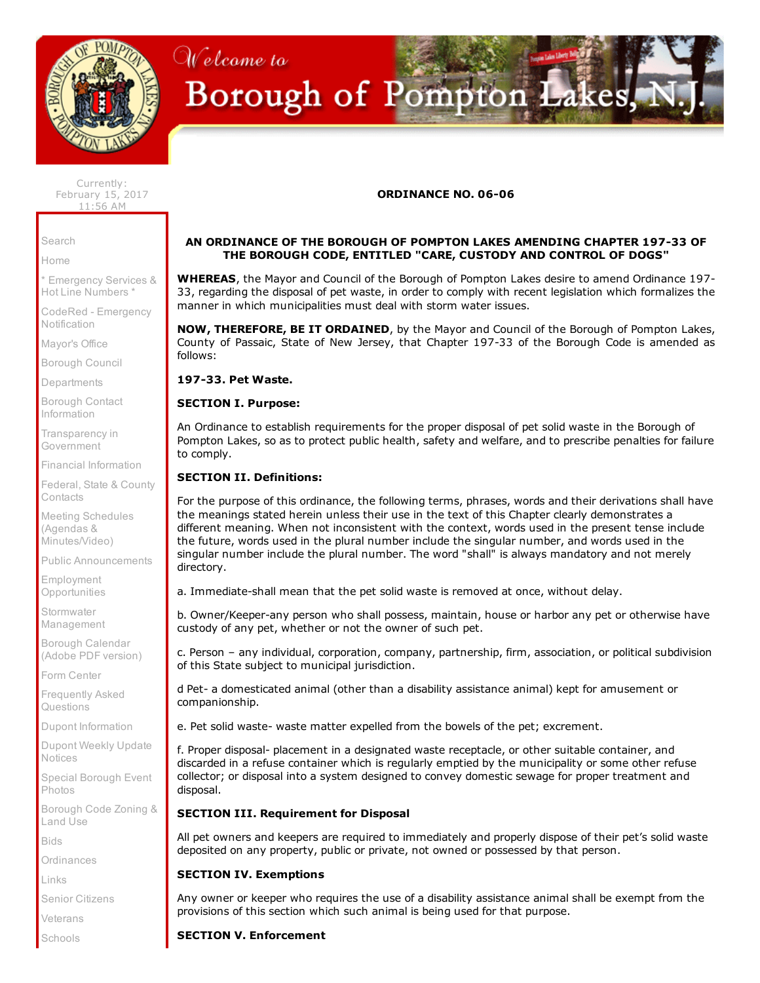

# Welcome to Borough of Pompton Lakes,

Currently: February 15, 2017 11:56 AM

[Search](http://www.pomptonlakesgov.com/Cit-e-Access/Search/?TID=36&TPID=4493)

[Home](http://www.pomptonlakesgov.com/index.cfm)

\* [Emergency](http://www.pomptonlakesgov.com/Cit-e-Access/webpage.cfm?TID=36&TPID=4865) Services & Hot Line Numbers \*

CodeRed - [Emergency](https://public.coderedweb.com/CNE/8050B2D9A5F0) **Notification** 

[Mayor's](http://www.pomptonlakesgov.com/Cit-e-Access/Mayor/?TID=36&TPID=4478) Office

[Borough](http://www.pomptonlakesgov.com/Cit-e-Access/TownCouncil/?TID=36&TPID=4479) Council

[Departments](http://www.pomptonlakesgov.com/Cit-e-Access/departments/?TID=36&TPID=4481)

Borough Contact [Information](http://www.pomptonlakesgov.com/Cit-e-Access/ContactInfo/?TID=36&TPID=4485)

[Transparency](http://www.pomptonlakesgov.com/Cit-e-Access/webpage.cfm?TID=36&TPID=15714) in Government

Financial [Information](http://www.pomptonlakesgov.com/Cit-e-Access/webpage.cfm?TID=36&TPID=11467)

Federal, State & County **[Contacts](http://www.pomptonlakesgov.com/Cit-e-Access/webpage.cfm?TID=36&TPID=8554)** 

Meeting Schedules (Agendas & [Minutes/Video\)](http://www.pomptonlakesgov.com/Cit-e-Access/Meetings/?TID=36&TPID=4490)

Public [Announcements](http://www.pomptonlakesgov.com/Cit-e-Access/News/?TID=36&TPID=4486)

Employment **[Opportunities](http://www.pomptonlakesgov.com/Cit-e-Access/Employment/?TID=36&TPID=11514)** 

**Stormwater** [Management](http://www.pomptonlakesgov.com/Cit-e-Access/webpage.cfm?TID=36&TPID=15167)

Borough [Calendar](http://www.pomptonlakesgov.com/documents/borough%20calendar%20folder/pl.2016.calendar.web.pdf) (Adobe PDF version)

Form [Center](http://www.pomptonlakesgov.com/Cit-e-Access/FormCenter/?TID=36&TPID=4488)

[Frequently](http://www.pomptonlakesgov.com/Cit-e-Access/FAQ/?TID=36&TPID=4491) Asked Questions

Dupont [Information](http://www.pomptonlakesgov.com/Cit-e-Access/webpage.cfm?TID=36&TPID=10885)

Dupont Weekly Update [Notices](http://www.pomptonlakesgov.com/Cit-e-Access/webpage.cfm?TID=36&TPID=15795)

Special [Borough](http://www.pomptonlakesgov.com/Cit-e-Access/PhotoJournal/?TID=36&TPID=4492) Event Photos

[Borough](http://clerkshq.com/default.ashx?clientsite=PomptonLakes-nj) Code Zoning & Land Use

[Bids](http://www.pomptonlakesgov.com/Cit-e-Access/Bids/?TID=36&TPID=4495)

**[Ordinances](http://www.pomptonlakesgov.com/Cit-e-Access/webpage.cfm?TID=36&TPID=4761)** 

[Links](http://www.pomptonlakesgov.com/Cit-e-Access/Links/?TID=36&TPID=4480)

Senior [Citizens](http://www.pomptonlakesgov.com/Cit-e-Access/webpage.cfm?TID=36&TPID=4708)

[Veterans](http://www.pomptonlakesgov.com/Cit-e-Access/webpage.cfm?TID=36&TPID=4864)

[Schools](http://www.pomptonlakesgov.com/Cit-e-Access/webpage.cfm?TID=36&TPID=4866)

## ORDINANCE NO. 06-06

#### AN ORDINANCE OF THE BOROUGH OF POMPTON LAKES AMENDING CHAPTER 197-33 OF THE BOROUGH CODE, ENTITLED "CARE, CUSTODY AND CONTROL OF DOGS"

WHEREAS, the Mayor and Council of the Borough of Pompton Lakes desire to amend Ordinance 197-33, regarding the disposal of pet waste, in order to comply with recent legislation which formalizes the manner in which municipalities must deal with storm water issues.

NOW, THEREFORE, BE IT ORDAINED, by the Mayor and Council of the Borough of Pompton Lakes, County of Passaic, State of New Jersey, that Chapter 197-33 of the Borough Code is amended as follows:

197-33. Pet Waste.

#### SECTION I. Purpose:

An Ordinance to establish requirements for the proper disposal of pet solid waste in the Borough of Pompton Lakes, so as to protect public health, safety and welfare, and to prescribe penalties for failure to comply.

## SECTION II. Definitions:

For the purpose of this ordinance, the following terms, phrases, words and their derivations shall have the meanings stated herein unless their use in the text of this Chapter clearly demonstrates a different meaning. When not inconsistent with the context, words used in the present tense include the future, words used in the plural number include the singular number, and words used in the singular number include the plural number. The word "shall" is always mandatory and not merely directory.

a. Immediate-shall mean that the pet solid waste is removed at once, without delay.

b. Owner/Keeper-any person who shall possess, maintain, house or harbor any pet or otherwise have custody of any pet, whether or not the owner of such pet.

c. Person – any individual, corporation, company, partnership, firm, association, or political subdivision of this State subject to municipal jurisdiction.

d Pet- a domesticated animal (other than a disability assistance animal) kept for amusement or companionship.

e. Pet solid waste waste matter expelled from the bowels of the pet; excrement.

f. Proper disposal- placement in a designated waste receptacle, or other suitable container, and discarded in a refuse container which is regularly emptied by the municipality or some other refuse collector; or disposal into a system designed to convey domestic sewage for proper treatment and disposal.

#### SECTION III. Requirement for Disposal

All pet owners and keepers are required to immediately and properly dispose of their pet's solid waste deposited on any property, public or private, not owned or possessed by that person.

# SECTION IV. Exemptions

Any owner or keeper who requires the use of a disability assistance animal shall be exempt from the provisions of this section which such animal is being used for that purpose.

# SECTION V. Enforcement